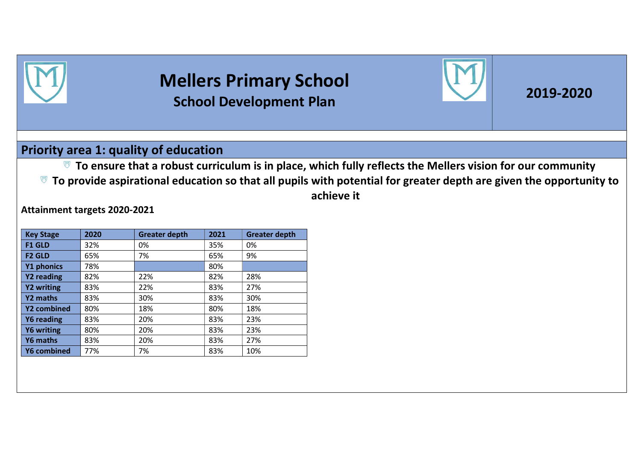

# Mellers Primary School School Development Plan 2019-2020



#### Priority area 1: quality of education

 $\mathbb{F}$  To ensure that a robust curriculum is in place, which fully reflects the Mellers vision for our community  $\overline{v}$  To provide aspirational education so that all pupils with potential for greater depth are given the opportunity to achieve it

Attainment targets 2020-2021

| <b>Key Stage</b>   | 2020 | <b>Greater depth</b> | 2021 | <b>Greater depth</b> |
|--------------------|------|----------------------|------|----------------------|
| <b>F1 GLD</b>      | 32%  | 0%                   | 35%  | 0%                   |
| <b>F2 GLD</b>      | 65%  | 7%                   | 65%  | 9%                   |
| Y1 phonics         | 78%  |                      | 80%  |                      |
| Y2 reading         | 82%  | 22%                  | 82%  | 28%                  |
| <b>Y2 writing</b>  | 83%  | 22%                  | 83%  | 27%                  |
| Y2 maths           | 83%  | 30%                  | 83%  | 30%                  |
| Y2 combined        | 80%  | 18%                  | 80%  | 18%                  |
| Y6 reading         | 83%  | 20%                  | 83%  | 23%                  |
| <b>Y6 writing</b>  | 80%  | 20%                  | 83%  | 23%                  |
| Y6 maths           | 83%  | 20%                  | 83%  | 27%                  |
| <b>Y6 combined</b> | 77%  | 7%                   | 83%  | 10%                  |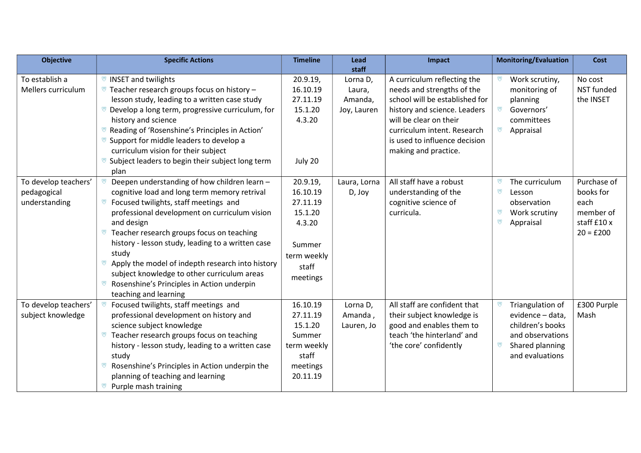| <b>Objective</b>                                     | <b>Specific Actions</b>                                                                                                                                                                                                                                                                                                                                                                                                                                                                                         | <b>Timeline</b>                                                                                     | Lead<br>staff                                | Impact                                                                                                                                                                                                                                        | <b>Monitoring/Evaluation</b>                                                                                       | <b>Cost</b>                                                                 |
|------------------------------------------------------|-----------------------------------------------------------------------------------------------------------------------------------------------------------------------------------------------------------------------------------------------------------------------------------------------------------------------------------------------------------------------------------------------------------------------------------------------------------------------------------------------------------------|-----------------------------------------------------------------------------------------------------|----------------------------------------------|-----------------------------------------------------------------------------------------------------------------------------------------------------------------------------------------------------------------------------------------------|--------------------------------------------------------------------------------------------------------------------|-----------------------------------------------------------------------------|
| To establish a<br>Mellers curriculum                 | <sup>₩</sup> INSET and twilights<br>$\overline{v}$ Teacher research groups focus on history -<br>lesson study, leading to a written case study<br>Develop a long term, progressive curriculum, for<br>history and science<br>Reading of 'Rosenshine's Principles in Action'<br>Support for middle leaders to develop a<br>curriculum vision for their subject<br><sup>₩</sup> Subject leaders to begin their subject long term<br>plan                                                                          | 20.9.19,<br>16.10.19<br>27.11.19<br>15.1.20<br>4.3.20<br>July 20                                    | Lorna D,<br>Laura,<br>Amanda,<br>Joy, Lauren | A curriculum reflecting the<br>needs and strengths of the<br>school will be established for<br>history and science. Leaders<br>will be clear on their<br>curriculum intent. Research<br>is used to influence decision<br>making and practice. | Work scrutiny,<br>monitoring of<br>planning<br>Governors'<br>committees<br>ឃ<br>Appraisal                          | No cost<br><b>NST</b> funded<br>the INSET                                   |
| To develop teachers'<br>pedagogical<br>understanding | Deepen understanding of how children learn -<br>cognitive load and long term memory retrival<br>Focused twilights, staff meetings and<br>ভ<br>professional development on curriculum vision<br>and design<br>Teacher research groups focus on teaching<br><b>D</b><br>history - lesson study, leading to a written case<br>study<br>Apply the model of indepth research into history<br>ভ<br>subject knowledge to other curriculum areas<br>Rosenshine's Principles in Action underpin<br>teaching and learning | 20.9.19,<br>16.10.19<br>27.11.19<br>15.1.20<br>4.3.20<br>Summer<br>term weekly<br>staff<br>meetings | Laura, Lorna<br>D, Joy                       | All staff have a robust<br>understanding of the<br>cognitive science of<br>curricula.                                                                                                                                                         | The curriculum<br>ឃ<br>Lesson<br>observation<br>Work scrutiny<br>ឃ<br>Appraisal                                    | Purchase of<br>books for<br>each<br>member of<br>staff £10 x<br>$20 = £200$ |
| To develop teachers'<br>subject knowledge            | Focused twilights, staff meetings and<br>professional development on history and<br>science subject knowledge<br>Teacher research groups focus on teaching<br>ভ<br>history - lesson study, leading to a written case<br>study<br>Rosenshine's Principles in Action underpin the<br>⋓<br>planning of teaching and learning<br>ভ<br>Purple mash training                                                                                                                                                          | 16.10.19<br>27.11.19<br>15.1.20<br>Summer<br>term weekly<br>staff<br>meetings<br>20.11.19           | Lorna D,<br>Amanda,<br>Lauren, Jo            | All staff are confident that<br>their subject knowledge is<br>good and enables them to<br>teach 'the hinterland' and<br>'the core' confidently                                                                                                | Triangulation of<br>evidence - data,<br>children's books<br>and observations<br>Shared planning<br>and evaluations | £300 Purple<br>Mash                                                         |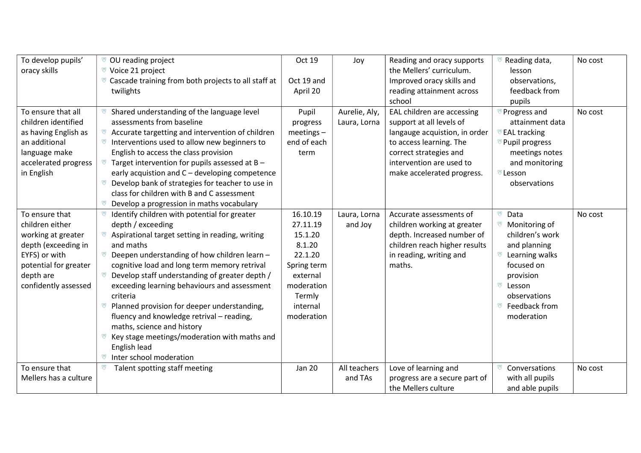| To develop pupils'    | © OU reading project                                | Oct 19        | Joy           | Reading and oracy supports    | Reading data,               | No cost |
|-----------------------|-----------------------------------------------------|---------------|---------------|-------------------------------|-----------------------------|---------|
| oracy skills          | Voice 21 project                                    |               |               | the Mellers' curriculum.      | lesson                      |         |
|                       | Cascade training from both projects to all staff at | Oct 19 and    |               | Improved oracy skills and     | observations,               |         |
|                       | twilights                                           | April 20      |               | reading attainment across     | feedback from               |         |
|                       |                                                     |               |               | school                        | pupils                      |         |
| To ensure that all    | Shared understanding of the language level          | Pupil         | Aurelie, Aly, | EAL children are accessing    | Progress and                | No cost |
| children identified   | assessments from baseline                           | progress      | Laura, Lorna  | support at all levels of      | attainment data             |         |
| as having English as  | Accurate targetting and intervention of children    | $meetings -$  |               | langauge acquistion, in order | <b>EAL tracking</b>         |         |
| an additional         | Interventions used to allow new beginners to        | end of each   |               | to access learning. The       | <sup>™</sup> Pupil progress |         |
| language make         | English to access the class provision               | term          |               | correct strategies and        | meetings notes              |         |
| accelerated progress  | Target intervention for pupils assessed at B -      |               |               | intervention are used to      | and monitoring              |         |
| in English            | early acquistion and C - developing competence      |               |               | make accelerated progress.    | <b><i>™</i></b> Lesson      |         |
|                       | Develop bank of strategies for teacher to use in    |               |               |                               | observations                |         |
|                       | class for children with B and C assessment          |               |               |                               |                             |         |
|                       | Develop a progression in maths vocabulary<br>ভ      |               |               |                               |                             |         |
| To ensure that        | Identify children with potential for greater        | 16.10.19      | Laura, Lorna  | Accurate assessments of       | Data<br>ឃ                   | No cost |
| children either       | depth / exceeding                                   | 27.11.19      | and Joy       | children working at greater   | Monitoring of               |         |
| working at greater    | Aspirational target setting in reading, writing     | 15.1.20       |               | depth. Increased number of    | children's work             |         |
| depth (exceeding in   | and maths                                           | 8.1.20        |               | children reach higher results | and planning                |         |
| EYFS) or with         | Deepen understanding of how children learn -        | 22.1.20       |               | in reading, writing and       | Learning walks              |         |
| potential for greater | cognitive load and long term memory retrival        | Spring term   |               | maths.                        | focused on                  |         |
| depth are             | Develop staff understanding of greater depth /<br>ឃ | external      |               |                               | provision                   |         |
| confidently assessed  | exceeding learning behaviours and assessment        | moderation    |               |                               | ឃ<br>Lesson                 |         |
|                       | criteria                                            | Termly        |               |                               | observations                |         |
|                       | Planned provision for deeper understanding,<br>ভ    | internal      |               |                               | Feedback from               |         |
|                       | fluency and knowledge retrival - reading,           | moderation    |               |                               | moderation                  |         |
|                       | maths, science and history                          |               |               |                               |                             |         |
|                       | Key stage meetings/moderation with maths and        |               |               |                               |                             |         |
|                       | English lead                                        |               |               |                               |                             |         |
|                       | Inter school moderation<br>ভ                        |               |               |                               |                             |         |
| To ensure that        | Talent spotting staff meeting<br>ভ                  | <b>Jan 20</b> | All teachers  | Love of learning and          | Conversations               | No cost |
| Mellers has a culture |                                                     |               | and TAs       | progress are a secure part of | with all pupils             |         |
|                       |                                                     |               |               | the Mellers culture           | and able pupils             |         |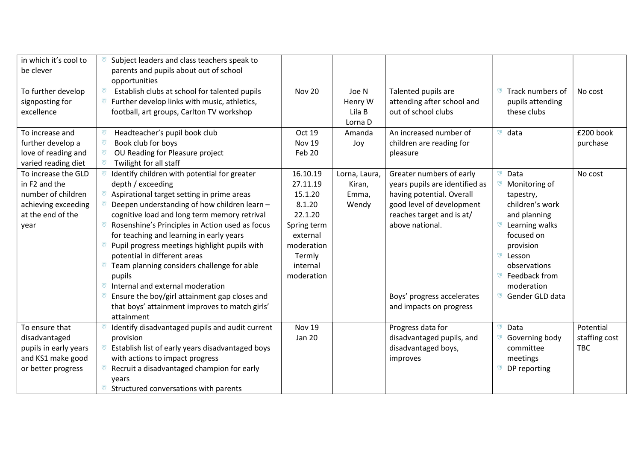| in which it's cool to | Subject leaders and class teachers speak to<br>ভ      |               |               |                                |                            |               |
|-----------------------|-------------------------------------------------------|---------------|---------------|--------------------------------|----------------------------|---------------|
| be clever             | parents and pupils about out of school                |               |               |                                |                            |               |
|                       | opportunities                                         |               |               |                                |                            |               |
| To further develop    | Establish clubs at school for talented pupils<br>U    | <b>Nov 20</b> | Joe N         | Talented pupils are            | Track numbers of           | No cost       |
| signposting for       | Further develop links with music, athletics,<br>ឃ     |               | Henry W       | attending after school and     | pupils attending           |               |
| excellence            | football, art groups, Carlton TV workshop             |               | Lila B        | out of school clubs            | these clubs                |               |
|                       |                                                       |               | Lorna D       |                                |                            |               |
| To increase and       | Headteacher's pupil book club<br>ভ                    | Oct 19        | Amanda        | An increased number of         | data<br>ឃ                  | £200 book     |
| further develop a     | ভ<br>Book club for boys                               | <b>Nov 19</b> | Joy           | children are reading for       |                            | purchase      |
| love of reading and   | OU Reading for Pleasure project<br>U                  | Feb 20        |               | pleasure                       |                            |               |
| varied reading diet   | Twilight for all staff<br>ভ                           |               |               |                                |                            |               |
| To increase the GLD   | Identify children with potential for greater<br>U     | 16.10.19      | Lorna, Laura, | Greater numbers of early       | <sup>₩</sup> Data          | No cost       |
| in F2 and the         | depth / exceeding                                     | 27.11.19      | Kiran,        | years pupils are identified as | Monitoring of              |               |
| number of children    | Aspirational target setting in prime areas<br>ឃ       | 15.1.20       | Emma,         | having potential. Overall      | tapestry,                  |               |
| achieving exceeding   | Deepen understanding of how children learn -          | 8.1.20        | Wendy         | good level of development      | children's work            |               |
| at the end of the     | cognitive load and long term memory retrival          | 22.1.20       |               | reaches target and is at/      | and planning               |               |
| year                  | Rosenshine's Principles in Action used as focus<br>ভ  | Spring term   |               | above national.                | Learning walks<br>ভ        |               |
|                       | for teaching and learning in early years              | external      |               |                                | focused on                 |               |
|                       | Pupil progress meetings highlight pupils with<br>ভ    | moderation    |               |                                | provision                  |               |
|                       | potential in different areas                          | Termly        |               |                                | <b><sup>₩</sup></b> Lesson |               |
|                       | Team planning considers challenge for able            | internal      |               |                                | observations               |               |
|                       | pupils                                                | moderation    |               |                                | <sup>₩</sup> Feedback from |               |
|                       | Internal and external moderation<br>ឃ                 |               |               |                                | moderation                 |               |
|                       | Ensure the boy/girl attainment gap closes and         |               |               | Boys' progress accelerates     | Gender GLD data<br>ឃ       |               |
|                       | that boys' attainment improves to match girls'        |               |               | and impacts on progress        |                            |               |
|                       | attainment                                            |               |               |                                |                            |               |
| To ensure that        | Identify disadvantaged pupils and audit current       | <b>Nov 19</b> |               | Progress data for              | $\nabla$ Data              | Potential     |
| disadvantaged         | provision                                             | Jan 20        |               | disadvantaged pupils, and      | Governing body<br>⋓        | staffing cost |
| pupils in early years | Establish list of early years disadvantaged boys<br>ឃ |               |               | disadvantaged boys,            | committee                  | <b>TBC</b>    |
| and KS1 make good     | with actions to impact progress                       |               |               | improves                       | meetings                   |               |
| or better progress    | Recruit a disadvantaged champion for early<br>U       |               |               |                                | <sup>₩</sup> DP reporting  |               |
|                       | years                                                 |               |               |                                |                            |               |
|                       | Structured conversations with parents                 |               |               |                                |                            |               |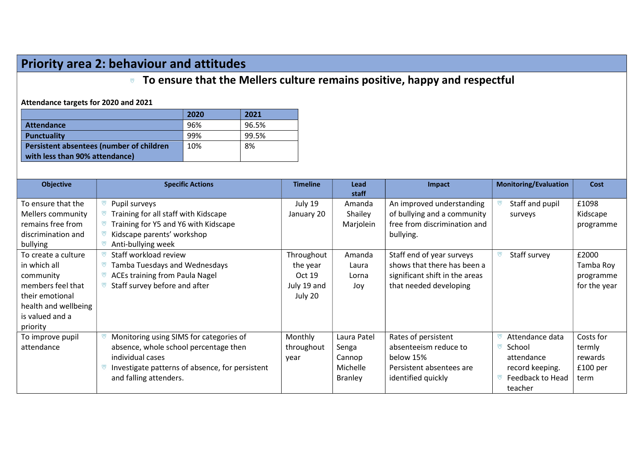## Priority area 2: behaviour and attitudes

### **To ensure that the Mellers culture remains positive, happy and respectful**

Attendance targets for 2020 and 2021

|                                          | 2020 | 2021  |
|------------------------------------------|------|-------|
| <b>Attendance</b>                        | 96%  | 96.5% |
| <b>Punctuality</b>                       | 99%  | 99.5% |
| Persistent absentees (number of children | 10%  | 8%    |
| with less than 90% attendance)           |      |       |

| <b>Objective</b>                                                                                                                                | <b>Specific Actions</b>                                                                                                                                                           | <b>Timeline</b>                                            | Lead<br>staff                                                | Impact                                                                                                               | <b>Monitoring/Evaluation</b>                                                              | Cost                                                          |
|-------------------------------------------------------------------------------------------------------------------------------------------------|-----------------------------------------------------------------------------------------------------------------------------------------------------------------------------------|------------------------------------------------------------|--------------------------------------------------------------|----------------------------------------------------------------------------------------------------------------------|-------------------------------------------------------------------------------------------|---------------------------------------------------------------|
| To ensure that the<br>Mellers community<br>remains free from<br>discrimination and<br>bullying                                                  | Pupil surveys<br>Training for all staff with Kidscape<br>Training for Y5 and Y6 with Kidscape<br>Kidscape parents' workshop<br>Anti-bullying week                                 | July 19<br>January 20                                      | Amanda<br>Shailey<br>Marjolein                               | An improved understanding<br>of bullying and a community<br>free from discrimination and<br>bullying.                | Staff and pupil<br>surveys                                                                | £1098<br>Kidscape<br>programme                                |
| To create a culture<br>in which all<br>community<br>members feel that<br>their emotional<br>health and wellbeing<br>is valued and a<br>priority | Staff workload review<br>Tamba Tuesdays and Wednesdays<br><b>ACEs training from Paula Nagel</b><br>Staff survey before and after                                                  | Throughout<br>the year<br>Oct 19<br>July 19 and<br>July 20 | Amanda<br>Laura<br>Lorna<br>Joy                              | Staff end of year surveys<br>shows that there has been a<br>significant shift in the areas<br>that needed developing | Staff survey                                                                              | £2000<br>Tamba Roy<br>programme<br>for the year               |
| To improve pupil<br>attendance                                                                                                                  | Monitoring using SIMS for categories of<br>absence, whole school percentage then<br>individual cases<br>Investigate patterns of absence, for persistent<br>and falling attenders. | Monthly<br>throughout<br>year                              | Laura Patel<br>Senga<br>Cannop<br>Michelle<br><b>Branley</b> | Rates of persistent<br>absenteeism reduce to<br>below 15%<br>Persistent absentees are<br>identified quickly          | Attendance data<br>School<br>attendance<br>record keeping.<br>Feedback to Head<br>teacher | Costs for<br>termly<br>rewards<br>£100 <sub>per</sub><br>term |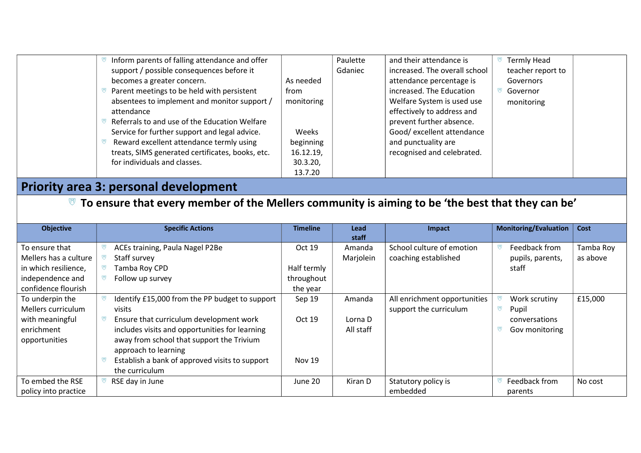| Inform parents of falling attendance and offer   |            | Paulette | and their attendance is       | <b>Termly Head</b> |
|--------------------------------------------------|------------|----------|-------------------------------|--------------------|
| support / possible consequences before it        |            | Gdaniec  | increased. The overall school | teacher report to  |
| becomes a greater concern.                       | As needed  |          | attendance percentage is      | Governors          |
| Parent meetings to be held with persistent       | from       |          | increased. The Education      | Governor           |
| absentees to implement and monitor support /     | monitoring |          | Welfare System is used use    | monitoring         |
| attendance                                       |            |          | effectively to address and    |                    |
| Referrals to and use of the Education Welfare    |            |          | prevent further absence.      |                    |
| Service for further support and legal advice.    | Weeks      |          | Good/ excellent attendance    |                    |
| Reward excellent attendance termly using         | beginning  |          | and punctuality are           |                    |
| treats, SIMS generated certificates, books, etc. | 16.12.19,  |          | recognised and celebrated.    |                    |
| for individuals and classes.                     | 30.3.20,   |          |                               |                    |
|                                                  | 13.7.20    |          |                               |                    |

## Priority area 3: personal development

### $\overline{\mathbb{V}}$  To ensure that every member of the Mellers community is aiming to be 'the best that they can be'

| <b>Objective</b>      | <b>Specific Actions</b>                        | <b>Timeline</b> | Lead      | Impact                       | <b>Monitoring/Evaluation</b> | Cost      |
|-----------------------|------------------------------------------------|-----------------|-----------|------------------------------|------------------------------|-----------|
|                       |                                                |                 | staff     |                              |                              |           |
| To ensure that        | ACEs training, Paula Nagel P2Be                | Oct 19          | Amanda    | School culture of emotion    | Feedback from                | Tamba Roy |
| Mellers has a culture | Staff survey                                   |                 | Marjolein | coaching established         | pupils, parents,             | as above  |
| in which resilience,  | Tamba Roy CPD                                  | Half termly     |           |                              | staff                        |           |
| independence and      | Follow up survey                               | throughout      |           |                              |                              |           |
| confidence flourish   |                                                | the year        |           |                              |                              |           |
| To underpin the       | Identify £15,000 from the PP budget to support | Sep 19          | Amanda    | All enrichment opportunities | Work scrutiny                | £15,000   |
| Mellers curriculum    | visits                                         |                 |           | support the curriculum       | w<br>Pupil                   |           |
| with meaningful       | Ensure that curriculum development work        | Oct 19          | Lorna D   |                              | conversations                |           |
| enrichment            | includes visits and opportunities for learning |                 | All staff |                              | Gov monitoring               |           |
| opportunities         | away from school that support the Trivium      |                 |           |                              |                              |           |
|                       | approach to learning                           |                 |           |                              |                              |           |
|                       | Establish a bank of approved visits to support | <b>Nov 19</b>   |           |                              |                              |           |
|                       | the curriculum                                 |                 |           |                              |                              |           |
| To embed the RSE      | RSE day in June                                | June 20         | Kiran D   | Statutory policy is          | Feedback from                | No cost   |
| policy into practice  |                                                |                 |           | embedded                     | parents                      |           |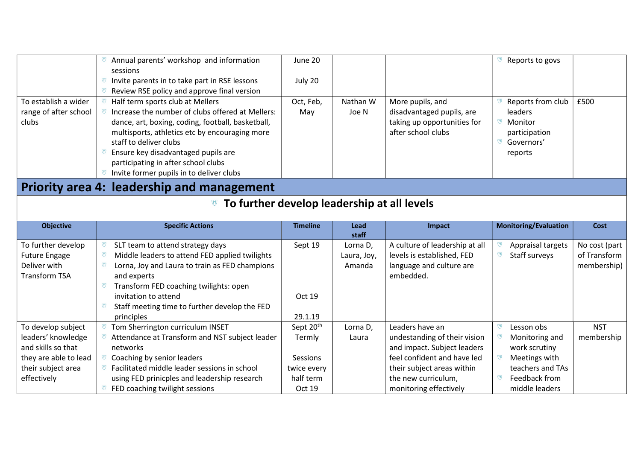|                                                          | Annual parents' workshop and information                                             | June 20             |             |                                               | Reports to govs                 |               |  |  |
|----------------------------------------------------------|--------------------------------------------------------------------------------------|---------------------|-------------|-----------------------------------------------|---------------------------------|---------------|--|--|
|                                                          | sessions                                                                             |                     |             |                                               |                                 |               |  |  |
|                                                          | ভ<br>Invite parents in to take part in RSE lessons                                   | July 20             |             |                                               |                                 |               |  |  |
|                                                          | Review RSE policy and approve final version                                          |                     |             |                                               |                                 |               |  |  |
| To establish a wider                                     | Half term sports club at Mellers                                                     | Oct, Feb,           | Nathan W    | More pupils, and                              | Reports from club               | £500          |  |  |
| range of after school                                    | Increase the number of clubs offered at Mellers:                                     | May                 | Joe N       | disadvantaged pupils, are                     | leaders                         |               |  |  |
| clubs                                                    | dance, art, boxing, coding, football, basketball,                                    |                     |             | taking up opportunities for                   | <sup>₩</sup> Monitor            |               |  |  |
|                                                          | multisports, athletics etc by encouraging more                                       |                     |             | after school clubs                            | participation                   |               |  |  |
|                                                          | staff to deliver clubs                                                               |                     |             |                                               | <sup>7</sup> Governors'         |               |  |  |
|                                                          | Ensure key disadvantaged pupils are                                                  |                     |             |                                               | reports                         |               |  |  |
|                                                          | participating in after school clubs<br>Invite former pupils in to deliver clubs<br>ভ |                     |             |                                               |                                 |               |  |  |
|                                                          |                                                                                      |                     |             |                                               |                                 |               |  |  |
|                                                          | Priority area 4: leadership and management                                           |                     |             |                                               |                                 |               |  |  |
| <sup>■</sup> To further develop leadership at all levels |                                                                                      |                     |             |                                               |                                 |               |  |  |
|                                                          |                                                                                      |                     |             |                                               |                                 |               |  |  |
|                                                          |                                                                                      |                     |             |                                               |                                 |               |  |  |
| <b>Objective</b>                                         | <b>Specific Actions</b>                                                              | <b>Timeline</b>     | Lead        | Impact                                        | <b>Monitoring/Evaluation</b>    | Cost          |  |  |
|                                                          |                                                                                      |                     | staff       |                                               |                                 |               |  |  |
| To further develop                                       | SLT team to attend strategy days<br>ভ                                                | Sept 19             | Lorna D,    | A culture of leadership at all                | Appraisal targets               | No cost (part |  |  |
| <b>Future Engage</b>                                     | Middle leaders to attend FED applied twilights<br>ভ                                  |                     | Laura, Joy, | levels is established, FED                    | Staff surveys<br>ভ              | of Transform  |  |  |
| Deliver with                                             | ভ<br>Lorna, Joy and Laura to train as FED champions                                  |                     | Amanda      | language and culture are                      |                                 | membership)   |  |  |
| <b>Transform TSA</b>                                     | and experts                                                                          |                     |             | embedded.                                     |                                 |               |  |  |
|                                                          | Transform FED coaching twilights: open<br>ভ                                          |                     |             |                                               |                                 |               |  |  |
|                                                          | invitation to attend                                                                 | Oct 19              |             |                                               |                                 |               |  |  |
|                                                          | Staff meeting time to further develop the FED<br>ভ                                   |                     |             |                                               |                                 |               |  |  |
|                                                          | principles                                                                           | 29.1.19             |             |                                               |                                 |               |  |  |
| To develop subject                                       | Tom Sherrington curriculum INSET<br>্ত                                               | Sept 20th           | Lorna D,    | Leaders have an                               | Lesson obs<br>W                 | <b>NST</b>    |  |  |
| leaders' knowledge                                       | Attendance at Transform and NST subject leader                                       | Termly              | Laura       | undestanding of their vision                  | Monitoring and                  | membership    |  |  |
| and skills so that                                       | networks                                                                             |                     |             | and impact. Subject leaders                   | work scrutiny                   |               |  |  |
| they are able to lead                                    | Coaching by senior leaders                                                           | Sessions            |             | feel confident and have led                   | Meetings with                   |               |  |  |
| their subject area                                       | ভ<br>Facilitated middle leader sessions in school                                    | twice every         |             | their subject areas within                    | teachers and TAs                |               |  |  |
| effectively                                              | using FED prinicples and leadership research<br>ভ<br>FED coaching twilight sessions  | half term<br>Oct 19 |             | the new curriculum,<br>monitoring effectively | Feedback from<br>middle leaders |               |  |  |

┱

┱

᠇

┑

- 6

⊤